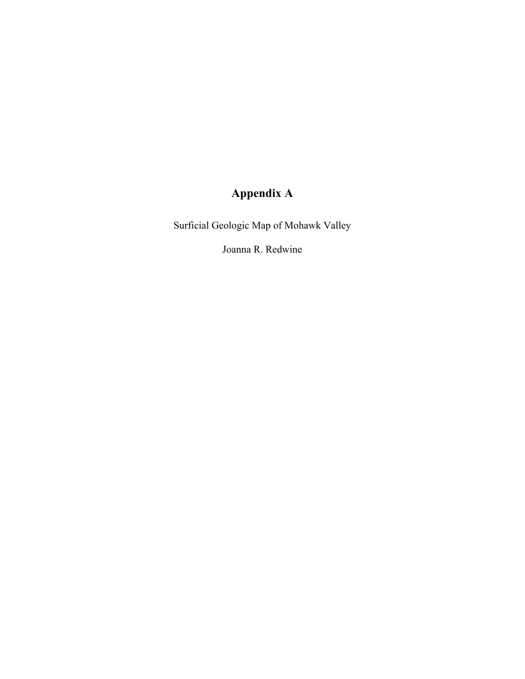# **Appendix A**

Surficial Geologic Map of Mohawk Valley

Joanna R. Redwine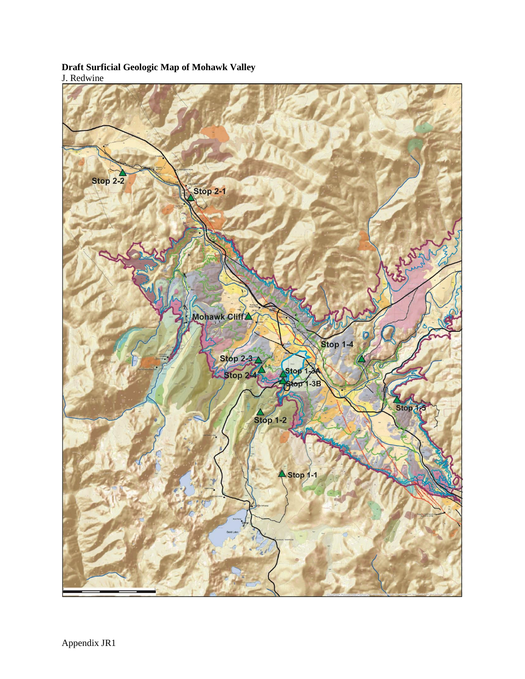## **Draft Surficial Geologic Map of Mohawk Valley** J. Redwine

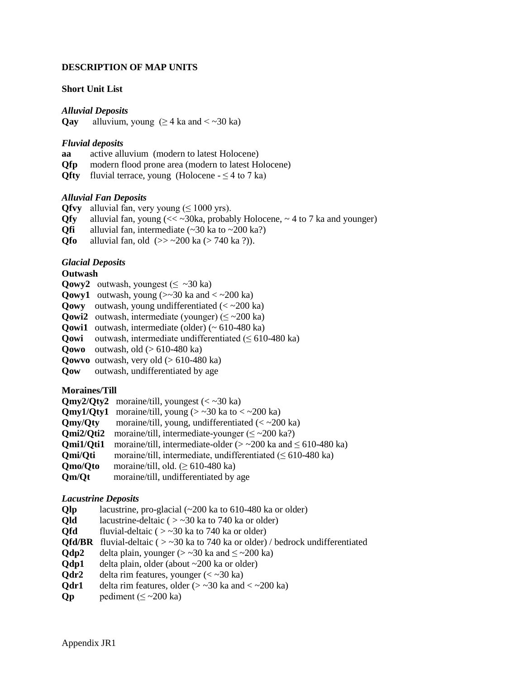#### **DESCRIPTION OF MAP UNITS**

#### **Short Unit List**

*Alluvial Deposits*

**Qay** alluvium, young  $(≥ 4 \text{ ka and} < ∞ 30 \text{ ka})$ 

#### *Fluvial deposits*

- **aa** active alluvium (modern to latest Holocene)
- **Qfp** modern flood prone area (modern to latest Holocene)
- **Qfty** fluvial terrace, young (Holocene  $\leq 4$  to 7 ka)

#### *Alluvial Fan Deposits*

**Qfvy** alluvial fan, very young ( $\leq 1000$  yrs).

- **Ofy** alluvial fan, young  $\ll \sim 30$ ka, probably Holocene,  $\sim 4$  to 7 ka and younger)
- **Qfi** alluvial fan, intermediate  $(\sim 30 \text{ ka to } \sim 200 \text{ ka})$
- **Qfo** alluvial fan, old  $(>> 200 \text{ ka} (> 740 \text{ ka} ?))$ .

## *Glacial Deposits*

#### **Outwash**

**Qowy2** outwash, youngest ( $\leq$  ~30 ka)

- **Qowy1** outwash, young  $(\geq 30 \text{ ka and } \leq \geq 200 \text{ ka})$
- **Qowy** outwash, young undifferentiated  $\langle \langle \sim 200 \text{ ka} \rangle \rangle$
- **Qowi2** outwash, intermediate (younger) ( $\leq$  ~200 ka)
- **Qowi1** outwash, intermediate (older) (~ 610-480 ka)
- **Qowi** outwash, intermediate undifferentiated ( $\leq 610-480$  ka)
- **Qowo** outwash, old (> 610-480 ka)
- **Qowvo** outwash, very old (> 610-480 ka)
- **Qow** outwash, undifferentiated by age

## **Moraines/Till**

|                      | $Qmy2/Qty2$ moraine/till, youngest (< ~30 ka)                                 |
|----------------------|-------------------------------------------------------------------------------|
|                      | <b>Qmy1/Qty1</b> moraine/till, young $(> 30 \text{ ka to } < 200 \text{ ka})$ |
| Qmy/Qty              | moraine/till, young, undifferentiated $\ll$ ~200 ka)                          |
| Omi2/Oti2            | moraine/till, intermediate-younger ( $\leq$ ~200 ka?)                         |
| Omi1/Oti1            | moraine/till, intermediate-older ( $>$ ~200 ka and $\leq$ 610-480 ka)         |
| Omi/Oti              | moraine/till, intermediate, undifferentiated $(\leq 610-480 \text{ ka})$      |
| <b>Omo/Oto</b>       | moraine/till, old. ( $\geq 610-480$ ka)                                       |
| $\sim$ $\sim$ $\sim$ |                                                                               |

**Qm/Qt** moraine/till, undifferentiated by age

## *Lacustrine Deposits*

**Qlp** lacustrine, pro-glacial (~200 ka to 610-480 ka or older)

- **Old** lacustrine-deltaic  $( > -30 \text{ ka to } 740 \text{ ka or older})$
- **Qfd** fluvial-deltaic ( $>$  ~30 ka to 740 ka or older)
- **Qfd/BR** fluvial-deltaic (  $>$  ~30 ka to 740 ka or older) / bedrock undifferentiated
- **Qdp2** delta plain, younger ( $>$  ~30 ka and  $\le$  ~200 ka)
- **Qdp1** delta plain, older (about ~200 ka or older)
- **Qdr2** delta rim features, younger  $(<$  ~30 ka)
- **Odr1** delta rim features, older  $(> 30 \text{ ka and } < 200 \text{ ka})$
- **Qp** bediment ( $\leq$  ~200 ka)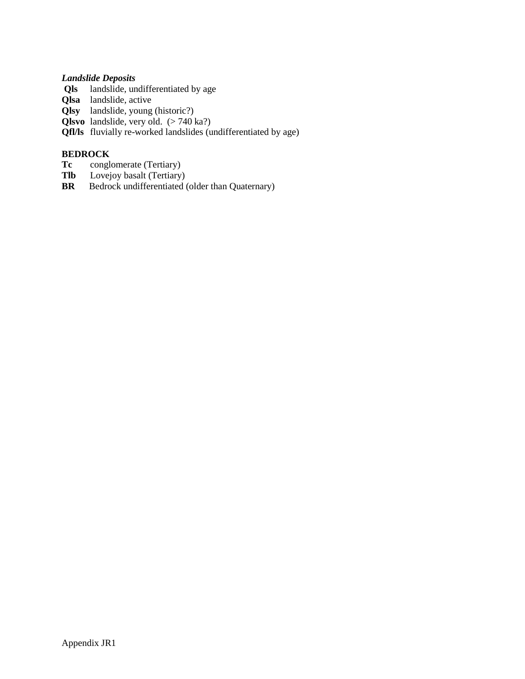## *Landslide Deposits*

- **Qls** landslide, undifferentiated by age
- **Qlsa** landslide, active
- **Qlsy** landslide, young (historic?)
- **Qlsvo** landslide, very old. (> 740 ka?)
- **Qfl/ls** fluvially re-worked landslides (undifferentiated by age)

## **BEDROCK**

- **Tc** conglomerate (Tertiary)<br>**Tlb** Lovejoy basalt (Tertiary)
- Lovejoy basalt (Tertiary)
- **BR** Bedrock undifferentiated (older than Quaternary)